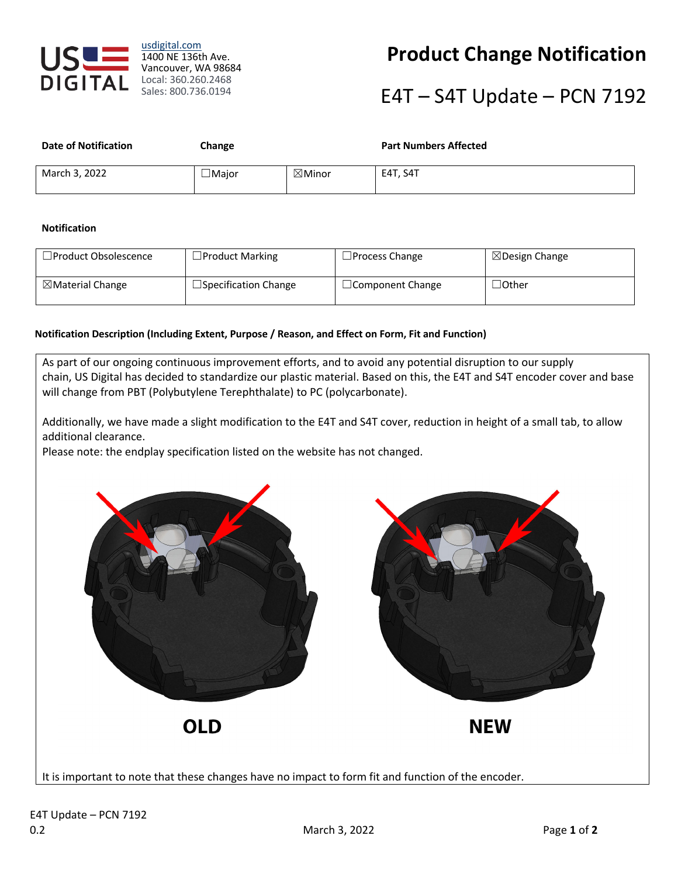

usdigital.com 1400 NE 136th Ave. Vancouver, WA 98684 Local: 360.260.2468 Sales: 800.736.0194

## **Product Change Notification**

# E4T – S4T Update – PCN 7192

| <b>Date of Notification</b> | Change       |                   | <b>Part Numbers Affected</b> |
|-----------------------------|--------------|-------------------|------------------------------|
| March 3, 2022               | $\Box$ Maior | $\boxtimes$ Minor | E4T, S4T                     |

#### **Notification**

| □Product Obsolescence       | $\Box$ Product Marking      | $\Box$ Process Change   | $\boxtimes$ Design Change |
|-----------------------------|-----------------------------|-------------------------|---------------------------|
| $\boxtimes$ Material Change | $\Box$ Specification Change | $\Box$ Component Change | $\lrcorner$ Other         |

#### **Notification Description (Including Extent, Purpose / Reason, and Effect on Form, Fit and Function)**

As part of our ongoing continuous improvement efforts, and to avoid any potential disruption to our supply chain, US Digital has decided to standardize our plastic material. Based on this, the E4T and S4T encoder cover and base will change from PBT (Polybutylene Terephthalate) to PC (polycarbonate).

Additionally, we have made a slight modification to the E4T and S4T cover, reduction in height of a small tab, to allow additional clearance.

Please note: the endplay specification listed on the website has not changed.